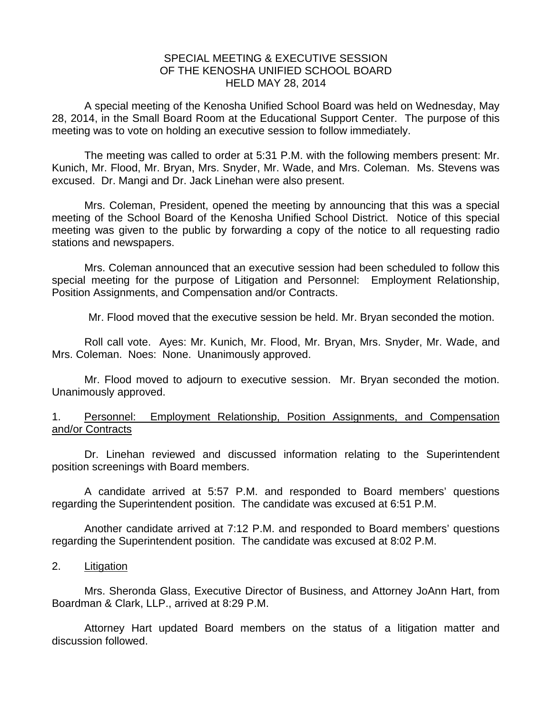## SPECIAL MEETING & EXECUTIVE SESSION OF THE KENOSHA UNIFIED SCHOOL BOARD HELD MAY 28, 2014

A special meeting of the Kenosha Unified School Board was held on Wednesday, May 28, 2014, in the Small Board Room at the Educational Support Center. The purpose of this meeting was to vote on holding an executive session to follow immediately.

 The meeting was called to order at 5:31 P.M. with the following members present: Mr. Kunich, Mr. Flood, Mr. Bryan, Mrs. Snyder, Mr. Wade, and Mrs. Coleman. Ms. Stevens was excused. Dr. Mangi and Dr. Jack Linehan were also present.

 Mrs. Coleman, President, opened the meeting by announcing that this was a special meeting of the School Board of the Kenosha Unified School District. Notice of this special meeting was given to the public by forwarding a copy of the notice to all requesting radio stations and newspapers.

 Mrs. Coleman announced that an executive session had been scheduled to follow this special meeting for the purpose of Litigation and Personnel: Employment Relationship, Position Assignments, and Compensation and/or Contracts.

Mr. Flood moved that the executive session be held. Mr. Bryan seconded the motion.

 Roll call vote. Ayes: Mr. Kunich, Mr. Flood, Mr. Bryan, Mrs. Snyder, Mr. Wade, and Mrs. Coleman. Noes: None. Unanimously approved.

 Mr. Flood moved to adjourn to executive session. Mr. Bryan seconded the motion. Unanimously approved.

## 1. Personnel: Employment Relationship, Position Assignments, and Compensation and/or Contracts

Dr. Linehan reviewed and discussed information relating to the Superintendent position screenings with Board members.

A candidate arrived at 5:57 P.M. and responded to Board members' questions regarding the Superintendent position. The candidate was excused at 6:51 P.M.

Another candidate arrived at 7:12 P.M. and responded to Board members' questions regarding the Superintendent position. The candidate was excused at 8:02 P.M.

## 2. Litigation

Mrs. Sheronda Glass, Executive Director of Business, and Attorney JoAnn Hart, from Boardman & Clark, LLP., arrived at 8:29 P.M.

Attorney Hart updated Board members on the status of a litigation matter and discussion followed.